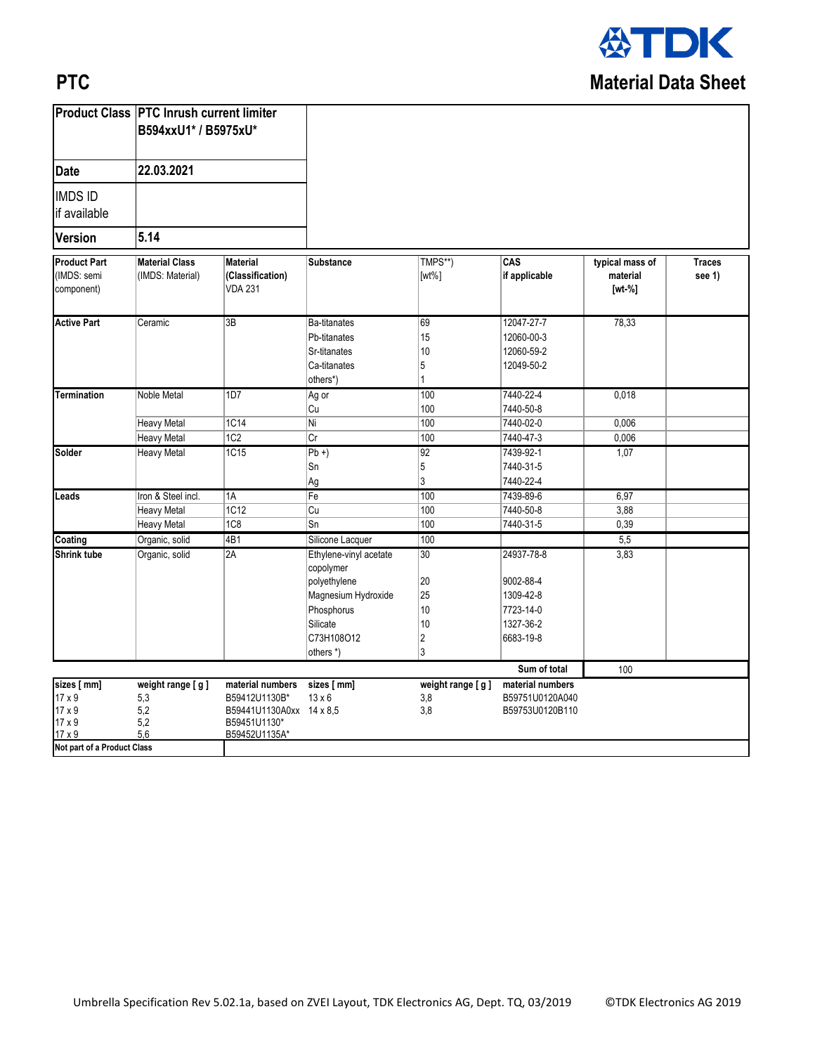

## **PTC**

|                                                                                                         | <b>Product Class PTC Inrush current limiter</b> |                                                                                                |                                                                                                                                 |                                              |                                                                             |                                         |                         |
|---------------------------------------------------------------------------------------------------------|-------------------------------------------------|------------------------------------------------------------------------------------------------|---------------------------------------------------------------------------------------------------------------------------------|----------------------------------------------|-----------------------------------------------------------------------------|-----------------------------------------|-------------------------|
| B594xxU1* / B5975xU*                                                                                    |                                                 |                                                                                                |                                                                                                                                 |                                              |                                                                             |                                         |                         |
| <b>Date</b>                                                                                             | 22.03.2021                                      |                                                                                                |                                                                                                                                 |                                              |                                                                             |                                         |                         |
| <b>IMDS ID</b><br>if available                                                                          |                                                 |                                                                                                |                                                                                                                                 |                                              |                                                                             |                                         |                         |
| <b>Version</b>                                                                                          | 5.14                                            |                                                                                                |                                                                                                                                 |                                              |                                                                             |                                         |                         |
| <b>Product Part</b><br>(IMDS: semi<br>component)                                                        | <b>Material Class</b><br>(IMDS: Material)       | <b>Material</b><br>(Classification)<br><b>VDA 231</b>                                          | <b>Substance</b>                                                                                                                | TMPS**)<br>$[wt\%]$                          | CAS<br>if applicable                                                        | typical mass of<br>material<br>$[wt-%]$ | <b>Traces</b><br>see 1) |
| <b>Active Part</b>                                                                                      | Ceramic                                         | 3B                                                                                             | Ba-titanates<br>Pb-titanates<br>Sr-titanates<br>Ca-titanates<br>others*)                                                        | 69<br>15<br>10<br>5<br>1                     | 12047-27-7<br>12060-00-3<br>12060-59-2<br>12049-50-2                        | 78,33                                   |                         |
| <b>Termination</b>                                                                                      | Noble Metal                                     | 1D7                                                                                            | Ag or<br>Cu                                                                                                                     | 100<br>100                                   | 7440-22-4<br>7440-50-8                                                      | 0,018                                   |                         |
|                                                                                                         | Heavy Metal                                     | 1C14                                                                                           | Ni                                                                                                                              | 100                                          | 7440-02-0                                                                   | 0,006                                   |                         |
|                                                                                                         | <b>Heavy Metal</b>                              | 1C2                                                                                            | Cr                                                                                                                              | 100                                          | 7440-47-3                                                                   | 0,006                                   |                         |
| Solder                                                                                                  | <b>Heavy Metal</b>                              | 1C15                                                                                           | $\overline{Pb+}$<br>Sn<br>Ag                                                                                                    | 92<br>5<br>3                                 | 7439-92-1<br>7440-31-5<br>7440-22-4                                         | 1,07                                    |                         |
| Leads                                                                                                   | Iron & Steel incl.                              | 1A                                                                                             | Fe                                                                                                                              | 100                                          | 7439-89-6                                                                   | 6,97                                    |                         |
|                                                                                                         | <b>Heavy Metal</b>                              | 1C12                                                                                           | Cu                                                                                                                              | 100                                          | 7440-50-8                                                                   | 3,88                                    |                         |
|                                                                                                         | <b>Heavy Metal</b>                              | 1C8                                                                                            | Sn                                                                                                                              | 100                                          | 7440-31-5                                                                   | 0,39                                    |                         |
| Coating                                                                                                 | Organic, solid                                  | 4B1                                                                                            | Silicone Lacquer                                                                                                                | 100                                          |                                                                             | 5,5                                     |                         |
| Shrink tube                                                                                             | Organic, solid                                  | 2A                                                                                             | Ethylene-vinyl acetate<br>copolymer<br>polyethylene<br>Magnesium Hydroxide<br>Phosphorus<br>Silicate<br>C73H108O12<br>others *) | 30<br>20<br>25<br>10<br>10<br>$\vert$ 2<br>3 | 24937-78-8<br>9002-88-4<br>1309-42-8<br>7723-14-0<br>1327-36-2<br>6683-19-8 | 3,83                                    |                         |
|                                                                                                         |                                                 |                                                                                                |                                                                                                                                 |                                              | Sum of total                                                                | 100                                     |                         |
| sizes [ mm]<br>$17 \times 9$<br>17 x 9<br>$17 \times 9$<br>$17 \times 9$<br>Not part of a Product Class | weight range [g]<br>5,3<br>5,2<br>5,2<br>5,6    | material numbers<br>B59412U1130B*<br>B59441U1130A0xx 14 x 8,5<br>B59451U1130*<br>B59452U1135A* | sizes [ mm]<br>$13 \times 6$                                                                                                    | weight range [g]<br>3,8<br>3,8               | material numbers<br>B59751U0120A040<br>B59753U0120B110                      |                                         |                         |
|                                                                                                         |                                                 |                                                                                                |                                                                                                                                 |                                              |                                                                             |                                         |                         |